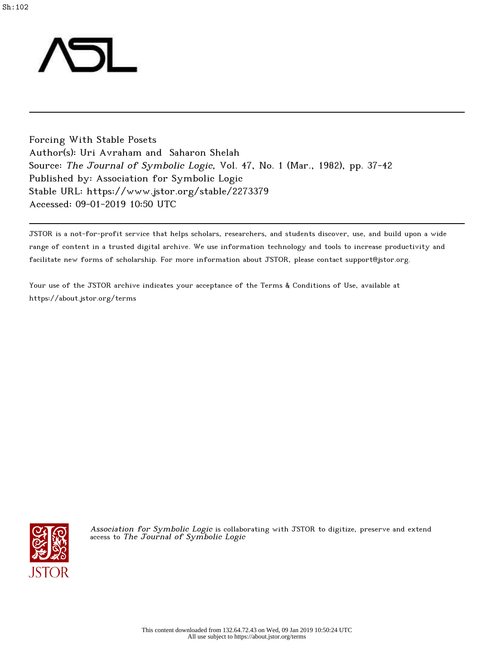

Forcing With Stable Posets Author(s): Uri Avraham and Saharon Shelah Source: The Journal of Symbolic Logic, Vol. 47, No. 1 (Mar., 1982), pp. 37-42 Published by: Association for Symbolic Logic Stable URL: https://www.jstor.org/stable/2273379 Accessed: 09-01-2019 10:50 UTC

JSTOR is a not-for-profit service that helps scholars, researchers, and students discover, use, and build upon a wide range of content in a trusted digital archive. We use information technology and tools to increase productivity and facilitate new forms of scholarship. For more information about JSTOR, please contact support@jstor.org.

Your use of the JSTOR archive indicates your acceptance of the Terms & Conditions of Use, available at https://about.jstor.org/terms



Association for Symbolic Logic is collaborating with JSTOR to digitize, preserve and extend access to The Journal of Symbolic Logic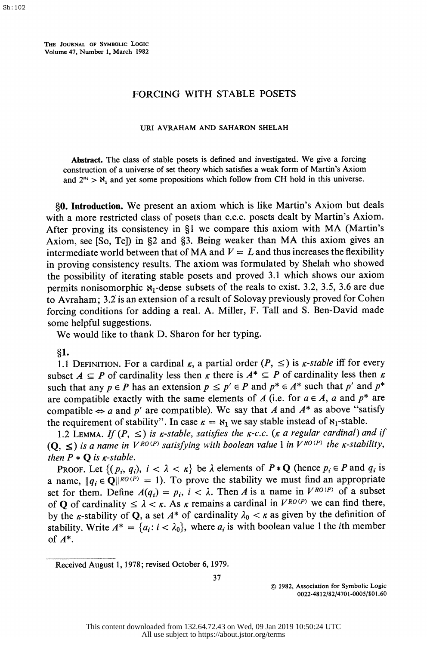THE JOURNAL OF SYMBOLIC LOGIC Volume 47, Number 1, March 1982

## FORCING WITH STABLE POSETS

## URI AVRAHAM AND SAHARON SHELAH

 Abstract. The class of stable posets is defined and investigated. We give a forcing construction of a universe of set theory which satisfies a weak form of Martin's Axiom and  $2^{s_0} > S_1$  and yet some propositions which follow from CH hold in this universe.

§0. Introduction. We present an axiom which is like Martin's Axiom but deals with a more restricted class of posets than c.c.c. posets dealt by Martin's Axiom. After proving its consistency in §1 we compare this axiom with MA (Martin's Axiom, see [So, Te]) in §2 and §3. Being weaker than MA this axiom gives an intermediate world between that of MA and  $V = L$  and thus increases the flexibility in proving consistency results. The axiom was formulated by Shelah who showed the possibility of iterating stable posets and proved 3.1 which shows our axiom permits nonisomorphic  $\mathbf{x}_1$ -dense subsets of the reals to exist. 3.2, 3.5, 3.6 are due to Avraham; 3.2 is an extension of a result of Solovay previously proved for Cohen forcing conditions for adding a real. A. Miller, F. Tall and S. Ben-David made some helpful suggestions.

We would like to thank D. Sharon for her typing.

?1.

1.1 DEFINITION. For a cardinal  $\kappa$ , a partial order  $(P, \leq)$  is  $\kappa$ -stable iff for every subset  $A \subseteq P$  of cardinality less then  $\kappa$  there is  $A^* \subseteq P$  of cardinality less then  $\kappa$ such that any  $p \in P$  has an extension  $p \le p' \in P$  and  $p^* \in A^*$  such that p' and  $p^*$ are compatible exactly with the same elements of A (i.e. for  $a \in A$ , a and  $p^*$  are compatible  $\Leftrightarrow$  a and p' are compatible). We say that A and  $A^*$  as above "satisfy the requirement of stability". In case  $\kappa = \kappa_1$  we say stable instead of  $\kappa_1$ -stable.

1.2 LEMMA. If  $(P, \leq)$  is *k*-stable, satisfies the *k*-c.c. (*k* a regular cardinal) and if  $(Q, \leq)$  is a name in  $V^{RO(P)}$  satisfying with boolean value 1 in  $V^{RO(P)}$  the *K*-stability, then  $P * Q$  is  $\kappa$ -stable.

PROOF. Let  $\{(p_i, q_i), i < \lambda < \kappa\}$  be  $\lambda$  elements of  $P * Q$  (hence  $p_i \in P$  and  $q_i$  is a name,  $||q_i \in \mathbb{Q}||^{RO(P)} = 1$ . To prove the stability we must find an appropriate set for them. Define  $A(q_i) = p_i$ ,  $i < \lambda$ . Then A is a name in  $V^{RO(P)}$  of a subset of Q of cardinality  $\leq \lambda < \kappa$ . As  $\kappa$  remains a cardinal in  $V^{RO(P)}$  we can find there, by the *k*-stability of Q, a set  $A^*$  of cardinality  $\lambda_0 < \kappa$  as given by the definition of stability. Write  $A^* = \{a_i : i < \lambda_0\}$ , where  $a_i$  is with boolean value 1 the *i*th member of A\*.

Received August 1, 1978; revised October 6, 1979.

37

 ? 1982, Association for Symbolic Logic 0022-48 12/82/4701-0005/\$01.60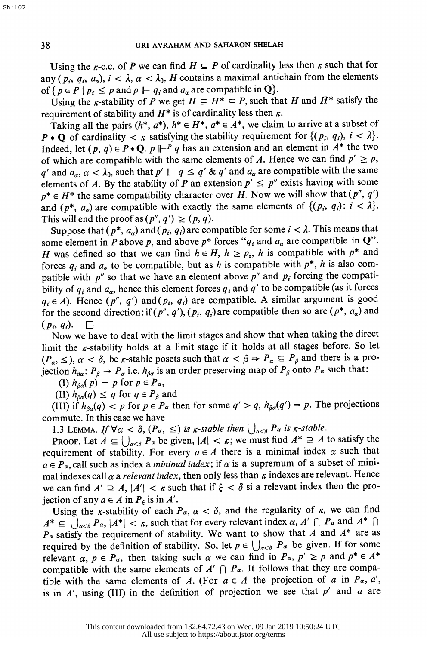Using the  $\kappa$ -c.c. of P we can find  $H \subseteq P$  of cardinality less then  $\kappa$  such that for any (p<sub>i</sub>, q<sub>i</sub>, a<sub>a</sub>),  $i < \lambda$ ,  $\alpha < \lambda_0$ , H contains a maximal antichain from the elements of  $\{p \in P \mid p_i \leq p \text{ and } p \mid \vdash q_i \text{ and } a_\alpha \text{ are compatible in } Q\}.$ 

Using the *k*-stability of P we get  $H \subseteq H^* \subseteq P$ , such that H and  $H^*$  satisfy the requirement of stability and  $H^*$  is of cardinality less then  $\kappa$ .

Taking all the pairs  $(h^*, a^*)$ ,  $h^* \in H^*$ ,  $a^* \in A^*$ , we claim to arrive at a subset of  $P * Q$  of cardinality  $\langle \kappa \rangle$  satisfying the stability requirement for  $\{(p_i, q_i), i \langle \lambda \rangle\}$ . Indeed, let  $(p, q) \in P * \mathbb{Q}$ .  $p \Vdash^P q$  has an extension and an element in  $A^*$  the two of which are compatible with the same elements of A. Hence we can find  $p' \ge p$ , q' and  $a_{\alpha}$ ,  $\alpha < \lambda_0$ , such that  $p' \Vdash q \le q' \& q'$  and  $a_{\alpha}$  are compatible with the same elements of A. By the stability of P an extension  $p' \leq p''$  exists having with some  $p^* \in H^*$  the same compatibility character over H. Now we will show that  $(p'', q')$ and  $(p^*, a_{\alpha})$  are compatible with exactly the same elements of  $\{(p_i, q_i): i < \lambda\}$ . This will end the proof as  $(p'', q') \ge (p, q)$ .

Suppose that  $(p^*, a_{\alpha})$  and  $(p_i, q_i)$  are compatible for some  $i < \lambda$ . This means that some element in P above  $p_i$  and above  $p^*$  forces " $q_i$  and  $a_\alpha$  are compatible in Q". H was defined so that we can find  $h \in H$ ,  $h \geq p_i$ , h is compatible with  $p^*$  and forces  $q_i$  and  $a_\alpha$  to be compatible, but as h is compatible with  $p^*$ , h is also compatible with  $p''$  so that we have an element above  $p''$  and  $p_i$  forcing the compatibility of  $q_i$  and  $a_\alpha$ , hence this element forces  $q_i$  and  $q'$  to be compatible (as it forces  $q_i \in A$ ). Hence  $(p'', q')$  and  $(p_i, q_i)$  are compatible. A similar argument is good for the second direction: if  $(p'', q'), (p_i, q_i)$  are compatible then so are  $(p^*, a_{\alpha})$  and  $(p_i, q_i)$ .  $\Box$ 

 Now we have to deal with the limit stages and show that when taking the direct limit the  $\kappa$ -stability holds at a limit stage if it holds at all stages before. So let  $(P_\alpha, \leq)$ ,  $\alpha < \delta$ , be *k*-stable posets such that  $\alpha < \beta \Rightarrow P_\alpha \subseteq P_\beta$  and there is a projection  $h_{\beta\alpha}$ :  $P_{\beta} \rightarrow P_{\alpha}$  i.e.  $h_{\beta\alpha}$  is an order preserving map of  $P_{\beta}$  onto  $P_{\alpha}$  such that:

(I)  $h_{\beta\alpha}(p) = p$  for  $p \in P_{\alpha}$ ,

(II)  $h_{\beta\alpha}(q) \leq q$  for  $q \in P_{\beta}$  and

(III) if  $h_{\beta\alpha}(q) < p$  for  $p \in P_\alpha$  then for some  $q' > q$ ,  $h_{\beta\alpha}(q') = p$ . The projections commute. In this case we have

1.3 LEMMA. If  $\forall \alpha < \delta$ ,  $(P_{\alpha}, \leq)$  is  $\kappa$ -stable then  $\bigcup_{\alpha < \delta} P_{\alpha}$  is  $\kappa$ -stable.

PROOF. Let  $A \subseteq \bigcup_{\alpha < \delta} P_{\alpha}$  be given,  $|A| < \kappa$ ; we must find  $A^* \supseteq A$  to satisfy the requirement of stability. For every  $a \in A$  there is a minimal index  $\alpha$  such that  $a \in P_\alpha$ , call such as index a *minimal index*; if  $\alpha$  is a supremum of a subset of minimal indexes call  $\alpha$  a *relevant index*, then only less than  $\kappa$  indexes are relevant. Hence we can find  $A' \supseteq A$ ,  $|A'| < \kappa$  such that if  $\xi < \delta$  si a relevant index then the projection of any  $a \in A$  in  $P_{\varepsilon}$  is in A'.

Using the  $\kappa$ -stability of each  $P_\alpha$ ,  $\alpha < \delta$ , and the regularity of  $\kappa$ , we can find  $A^* \subseteq \bigcup_{\alpha < \delta} P_\alpha, |A^*| < \kappa$ , such that for every relevant index  $\alpha$ ,  $A' \cap P_\alpha$  and  $A^* \cap$  $P_{\alpha}$  satisfy the requirement of stability. We want to show that A and  $A^*$  are as required by the definition of stability. So, let  $p \in \bigcup_{\alpha < \delta} P_{\alpha}$  be given. If for some relevant  $\alpha$ ,  $p \in P_\alpha$ , then taking such  $\alpha$  we can find in  $P_\alpha$ ,  $p' \geq p$  and  $p^* \in A^*$ compatible with the same elements of  $A' \cap P_\alpha$ . It follows that they are compatible with the same elements of A. (For  $a \in A$  the projection of a in  $P_{\alpha}$ , a', is in  $A'$ , using (III) in the definition of projection we see that  $p'$  and a are

Sh:102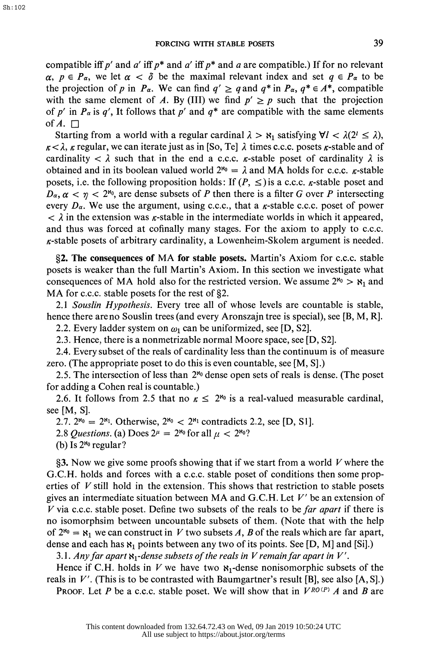compatible iff p' and a' iff p\* and a' iff p\* and a are compatible.) If for no relevant  $\alpha, p \in P_\alpha$ , we let  $\alpha < \delta$  be the maximal relevant index and set  $q \in P_\alpha$  to be the projection of p in  $P_{\alpha}$ . We can find  $q' \geq q$  and  $q^*$  in  $P_{\alpha}$ ,  $q^* \in A^*$ , compatible with the same element of A. By (III) we find  $p' \ge p$  such that the projection of p' in  $P_{\alpha}$  is q', It follows that p' and  $q^*$  are compatible with the same elements of  $A. \square$ 

Starting from a world with a regular cardinal  $\lambda > \kappa_1$  satisfying  $\forall l < \lambda(2^l \leq \lambda)$ ,  $\kappa < \lambda$ ,  $\kappa$  regular, we can iterate just as in [So, Te]  $\lambda$  times c.c.c. posets  $\kappa$ -stable and of cardinality  $\langle \lambda \rangle$  such that in the end a c.c.c.  $\kappa$ -stable poset of cardinality  $\lambda$  is obtained and in its boolean valued world  $2^{\kappa_0} = \lambda$  and MA holds for c.c.c.  $\kappa$ -stable posets, i.e. the following proposition holds: If  $(P, \leq)$  is a c.c.c.  $\kappa$ -stable poset and  $D_{\alpha}$ ,  $\alpha$  <  $\gamma$  < 2<sup>80</sup>, are dense subsets of P then there is a filter G over P intersecting every  $D_{\alpha}$ . We use the argument, using c.c.c., that a  $\kappa$ -stable c.c.c. poset of power  $\langle \rangle$  in the extension was *k*-stable in the intermediate worlds in which it appeared, and thus was forced at cofinally many stages. For the axiom to apply to c.c.c.  $\kappa$ -stable posets of arbitrary cardinality, a Lowenheim-Skolem argument is needed.

 ?2. The consequences of MA for stable posets. Martin's Axiom for c.c.c. stable posets is weaker than the full Martin's Axiom. In this section we investigate what consequences of MA hold also for the restricted version. We assume  $2^{\aleph_0} > \aleph_1$  and MA for c.c.c. stable posets for the rest of  $\S2$ .

2.1 Souslin Hypothesis. Every tree all of whose levels are countable is stable, hence there are no Souslin trees (and every Aronszajn tree is special), see [B, M, R].

2.2. Every ladder system on  $\omega_1$  can be uniformized, see [D, S2].

2.3. Hence, there is a nonmetrizable normal Moore space, see [D, S2].

 2.4. Every subset of the reals of cardinality less than the continuum is of measure zero. (The appropriate poset to do this is even countable, see [M, S].)

 2.5. The intersection of less than 28o dense open sets of reals is dense. (The poset for adding a Cohen real is countable.)

2.6. It follows from 2.5 that no  $\kappa \leq 2^{s_0}$  is a real-valued measurable cardinal, see [M, S].

2.7.  $2^{s_0} = 2^{s_1}$ . Otherwise,  $2^{s_0} < 2^{s_1}$  contradicts 2.2, see [D, S1].

2.8 Questions. (a) Does  $2^{\mu} = 2^{\mu_0}$  for all  $\mu < 2^{\mu_0}$ ?

(b) Is  $2^{\aleph_0}$  regular?

§3. Now we give some proofs showing that if we start from a world  $V$  where the G.C.H. holds and forces with a c.c.c. stable poset of conditions then some prop erties of  $V$  still hold in the extension. This shows that restriction to stable posets gives an intermediate situation between MA and G.C.H. Let  $V'$  be an extension of V via c.c.c. stable poset. Define two subsets of the reals to be far apart if there is no isomorphsim between uncountable subsets of them. (Note that with the help of  $2^{s_0} = s_1$  we can construct in V two subsets A, B of the reals which are far apart, dense and each has  $\aleph_1$  points between any two of its points. See [D, M] and [Si].)

3.1. Any far apart  $\mathbf{x}_1$ -dense subsets of the reals in V remain far apart in V'.

Hence if C.H. holds in V we have two  $x_1$ -dense nonisomorphic subsets of the reals in  $V'$ . (This is to be contrasted with Baumgartner's result [B], see also [A, S].)

PROOF. Let P be a c.c.c. stable poset. We will show that in  $V^{RO(P)}$  A and B are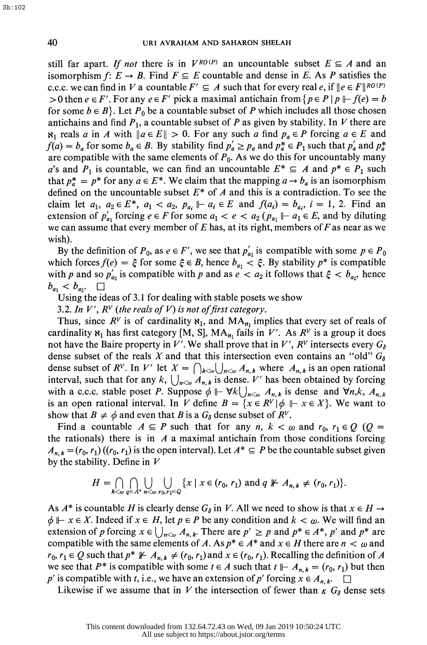still far apart. If not there is in  $V^{RO(P)}$  an uncountable subset  $E \subseteq A$  and an isomorphism f:  $E \rightarrow B$ . Find  $F \subseteq E$  countable and dense in E. As P satisfies the c.c.c. we can find in V a countable  $F' \subseteq A$  such that for every real e, if  $\|e \in F\|_{R^O(P)}$ > 0 then  $e \in F'$ . For any  $e \in F'$  pick a maximal antichain from  $\{p \in P \mid p \mid F(e) = b\}$ for some  $b \in B$ . Let  $P_0$  be a countable subset of P which includes all those chosen antichains and find  $P_1$ , a countable subset of P as given by stability. In V there are  $\aleph_1$  reals a in A with  $\|a \in E\| > 0$ . For any such a find  $p_a \in P$  forcing  $a \in E$  and  $f(a) = b_a$  for some  $b_a \in B$ . By stability find  $p'_a \ge p_a$  and  $p_a^* \in P_1$  such that  $p'_a$  and  $p_a^*$ are compatible with the same elements of  $P_0$ . As we do this for uncountably many a's and  $P_1$  is countable, we can find an uncountable  $E^* \subseteq A$  and  $p^* \in P_1$  such that  $p_a^* = p^*$  for any  $a \in E^*$ . We claim that the mapping  $a \to b_a$  is an isomorphism defined on the uncountable subset  $E^*$  of A and this is a contradiction. To see the claim let  $a_1, a_2 \in E^*$ ,  $a_1 < a_2, p_{a_i} \Vdash a_i \in E$  and  $f(a_i) = b_{a_i}, i = 1, 2$ . Find an extension of  $p'_{a_1}$  forcing  $e \in F$  for some  $a_1 < e < a_2$  ( $p_{a_1} \Vdash a_1 \in E$ , and by diluting we can assume that every member of  $E$  has, at its right, members of  $F$  as near as we wish).

By the definition of  $P_0$ , as  $e \in F'$ , we see that  $p'_{a_1}$  is compatible with some  $p \in P_0$ which forces  $f(e) = \xi$  for some  $\xi \in B$ , hence  $b_{a_1} < \xi$ . By stability  $p^*$  is compatible with p and so  $p'_{a_2}$  is compatible with p and as  $e < a_2$  it follows that  $\xi < b_{a_2}$ , hence  $b_{a_1} < b_{a_2}$ .

Using the ideas of 3.1 for dealing with stable posets we show

3.2. In V',  $R^V$  (the reals of V) is not of first category.

Thus, since  $R^V$  is of cardinality  $\mathbf{x}_1$ , and  $\mathbf{MA}_{\mathbf{x}_1}$  implies that every set of reals of cardinality  $x_1$  has first category [M, S], MA<sub> $x_1$ </sub> fails in V'. As  $R^V$  is a group it does not have the Baire property in V'. We shall prove that in V',  $R^V$  intersects every  $G_{\delta}$ dense subset of the reals X and that this intersection even contains an "old"  $G_{\delta}$ dense subset of R<sup>V</sup>. In V' let  $X = \bigcap_{k \leq w} \bigcup_{n \leq w} A_{n,k}$  where  $A_{n,k}$  is an open rational interval, such that for any k,  $\bigcup_{n\leq\omega} A_{n,k}$  is dense. V' has been obtained by forcing with a c.c.c. stable poset P. Suppose  $\phi \Vdash \forall k \bigcup_{n \leq \omega} A_{n,k}$  is dense and  $\forall n,k, A_{n,k}$ is an open rational interval. In V define  $B = \{x \in R^V | \phi \mid F : x \in X\}$ . We want to show that  $B \neq \phi$  and even that B is a  $G_{\delta}$  dense subset of  $R^V$ .

Find a countable  $A \subseteq P$  such that for any n,  $k < \omega$  and  $r_0$ ,  $r_1 \in Q$  (Q = the rationals) there is in  $A$  a maximal antichain from those conditions forcing  $A_{n,k} = (r_0, r_1) ((r_0, r_1)$  is the open interval). Let  $A^* \subseteq P$  be the countable subset given by the stability. Define in  $V$ 

$$
H=\bigcap_{k<\omega}\bigcap_{q\in A^*}\bigcup_{n<\omega}\bigcup_{r_0,r_1\in Q}\{x\mid x\in (r_0,r_1)\text{ and }q\not\Vdash A_{n,k}\neq (r_0,r_1)\}.
$$

As  $A^*$  is countable H is clearly dense  $G_{\delta}$  in V. All we need to show is that  $x \in H \rightarrow$  $\phi \Vdash x \in X$ . Indeed if  $x \in H$ , let  $p \in P$  be any condition and  $k < \omega$ . We will find an extension of p forcing  $x \in \bigcup_{n \leq w} A_{n,k}$ . There are  $p' \geq p$  and  $p^* \in A^*$ , p' and  $p^*$  are compatible with the same elements of A. As  $p^* \in A^*$  and  $x \in H$  there are  $n < \omega$  and  $r_0, r_1 \in Q$  such that  $p^* \not\perp A_{n,k} \neq (r_0, r_1)$  and  $x \in (r_0, r_1)$ . Recalling the definition of A we see that  $P^*$  is compatible with some  $t \in A$  such that  $t \Vdash A_{n,k} = (r_0, r_1)$  but then p' is compatible with t, i.e., we have an extension of p' forcing  $x \in A_{n,k}$ .  $\square$ 

Likewise if we assume that in V the intersection of fewer than  $\kappa$   $G_{\delta}$  dense sets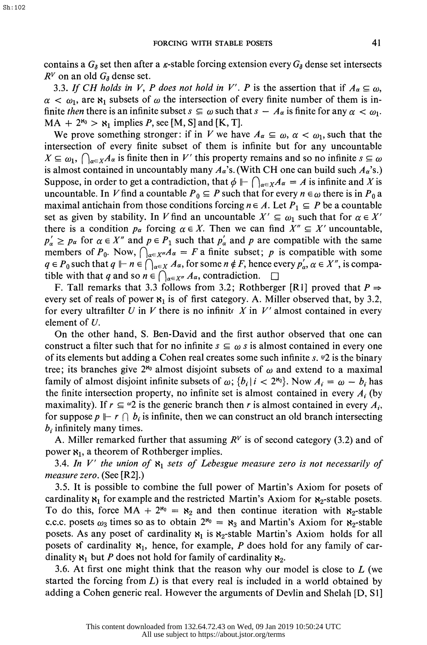contains a  $G_{\delta}$  set then after a *k*-stable forcing extension every  $G_{\delta}$  dense set intersects  $R^V$  on an old  $G_{\delta}$  dense set.

3.3. If CH holds in V, P does not hold in V'. P is the assertion that if  $A_{\alpha} \subseteq \omega$ ,  $\alpha < \omega_1$ , are  $\aleph_1$  subsets of  $\omega$  the intersection of every finite number of them is infinite then there is an infinite subset  $s \subseteq \omega$  such that  $s - A_{\alpha}$  is finite for any  $\alpha < \omega_1$ .  $MA + 2^{\aleph_0} > \aleph_1$  implies P, see [M, S] and [K, T].

We prove something stronger: if in V we have  $A_{\alpha} \subseteq \omega$ ,  $\alpha < \omega_1$ , such that the intersection of every finite subset of them is infinite but for any uncountable  $X \subseteq \omega_1$ ,  $\bigcap_{\alpha \in X} A_\alpha$  is finite then in V' this property remains and so no infinite  $s \subseteq \omega$ is almost contained in uncountably many  $A_{\alpha}$ 's. (With CH one can build such  $A_{\alpha}$ 's.) Suppose, in order to get a contradiction, that  $\phi \Vdash \bigcap_{\alpha \in X} A_{\alpha} = A$  is infinite and X is uncountable. In V find a countable  $P_0 \subseteq P$  such that for every  $n \in \omega$  there is in  $P_0$  a maximal antichain from those conditions forcing  $n \in A$ . Let  $P_1 \subseteq P$  be a countable set as given by stability. In V find an uncountable  $X' \subseteq \omega_1$  such that for  $\alpha \in X'$ there is a condition  $p_{\alpha}$  forcing  $\alpha \in X$ . Then we can find  $X'' \subseteq X'$  uncountable,  $p_{\alpha} \geq p_{\alpha}$  for  $\alpha \in X''$  and  $p \in P_1$  such that  $p_{\alpha}$  and p are compatible with the same members of  $P_0$ . Now,  $\bigcap_{\alpha \in X''} A_{\alpha} = F$  a finite subset; p is compatible with some  $q \in P_0$  such that  $q \Vdash n \in \bigcap_{\alpha \in X} A_\alpha$ , for some  $n \notin F$ , hence every  $p'_\alpha, \alpha \in X''$ , is compatible with that q and so  $n \in \bigcap_{\alpha \in X''} A_{\alpha}$ , contradiction.  $\square$ 

F. Tall remarks that 3.3 follows from 3.2; Rothberger [R1] proved that  $P \Rightarrow$ every set of reals of power  $x_1$  is of first category. A. Miller observed that, by 3.2, for every ultrafilter U in V there is no infinite X in V' almost contained in every element of  $U$ .

 On the other hand, S. Ben-David and the first author observed that one can construct a filter such that for no infinite  $s \subseteq \omega s$  is almost contained in every one of its elements but adding a Cohen real creates some such infinite s.  $\mathscr{P}2$  is the binary tree; its branches give  $2^{s_0}$  almost disjoint subsets of  $\omega$  and extend to a maximal family of almost disjoint infinite subsets of  $\omega$ ;  $\{b_i | i < 2^{\kappa_0}\}\$ . Now  $A_i = \omega - b_i$  has the finite intersection property, no infinite set is almost contained in every  $A_i$  (by maximality). If  $r \n\t\subseteq \n\infty$  is the generic branch then r is almost contained in every  $A_i$ , for suppose  $p \Vdash r \cap b_i$  is infinite, then we can construct an old branch intersecting  $b_i$  infinitely many times.

A. Miller remarked further that assuming  $R<sup>V</sup>$  is of second category (3.2) and of power  $x_1$ , a theorem of Rothberger implies.

3.4. In V' the union of  $\mathfrak{g}_1$  sets of Lebesgue measure zero is not necessarily of measure zero. (See [R2].)

 3.5. It is possible to combine the full power of Martin's Axiom for posets of cardinality  $x_1$  for example and the restricted Martin's Axiom for  $x_2$ -stable posets. To do this, force  $MA + 2^{\aleph_0} = \aleph_2$  and then continue iteration with  $\aleph_2$ -stable c.c.c. posets  $\omega_3$  times so as to obtain  $2^{\kappa_0} = \kappa_3$  and Martin's Axiom for  $\kappa_2$ -stable posets. As any poset of cardinality  $x_1$  is  $x_2$ -stable Martin's Axiom holds for all posets of cardinality  $x_1$ , hence, for example, P does hold for any family of cardinality  $\mathbf{x}_1$  but P does not hold for family of cardinality  $\mathbf{x}_2$ .

3.6. At first one might think that the reason why our model is close to  $L$  (we started the forcing from  $L$ ) is that every real is included in a world obtained by adding a Cohen generic real. However the arguments of Devlin and Shelah [D, SI]